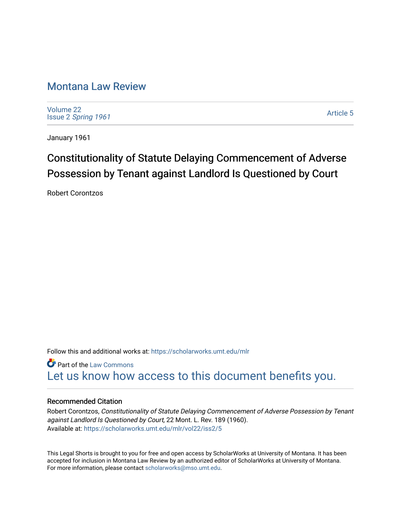## [Montana Law Review](https://scholarworks.umt.edu/mlr)

[Volume 22](https://scholarworks.umt.edu/mlr/vol22) Issue 2 [Spring 1961](https://scholarworks.umt.edu/mlr/vol22/iss2) 

[Article 5](https://scholarworks.umt.edu/mlr/vol22/iss2/5) 

January 1961

## Constitutionality of Statute Delaying Commencement of Adverse Possession by Tenant against Landlord Is Questioned by Court

Robert Corontzos

Follow this and additional works at: [https://scholarworks.umt.edu/mlr](https://scholarworks.umt.edu/mlr?utm_source=scholarworks.umt.edu%2Fmlr%2Fvol22%2Fiss2%2F5&utm_medium=PDF&utm_campaign=PDFCoverPages) 

Part of the [Law Commons](http://network.bepress.com/hgg/discipline/578?utm_source=scholarworks.umt.edu%2Fmlr%2Fvol22%2Fiss2%2F5&utm_medium=PDF&utm_campaign=PDFCoverPages) [Let us know how access to this document benefits you.](https://goo.gl/forms/s2rGfXOLzz71qgsB2) 

## Recommended Citation

Robert Corontzos, Constitutionality of Statute Delaying Commencement of Adverse Possession by Tenant against Landlord Is Questioned by Court, 22 Mont. L. Rev. 189 (1960). Available at: [https://scholarworks.umt.edu/mlr/vol22/iss2/5](https://scholarworks.umt.edu/mlr/vol22/iss2/5?utm_source=scholarworks.umt.edu%2Fmlr%2Fvol22%2Fiss2%2F5&utm_medium=PDF&utm_campaign=PDFCoverPages) 

This Legal Shorts is brought to you for free and open access by ScholarWorks at University of Montana. It has been accepted for inclusion in Montana Law Review by an authorized editor of ScholarWorks at University of Montana. For more information, please contact [scholarworks@mso.umt.edu.](mailto:scholarworks@mso.umt.edu)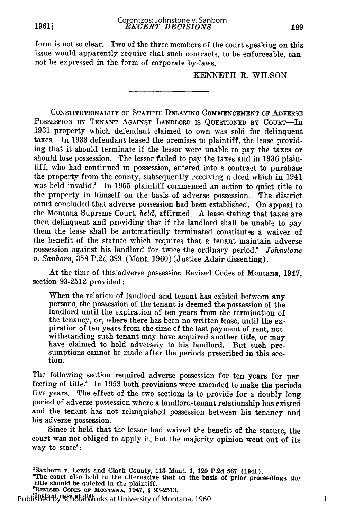form is not so clear. Two of the three members of the court speaking on this issue would apparently require that such contracts, to be enforceable, cannot be expressed in the form of corporate by-laws.

KENNETH R. WILSON

CONSTITUTIONALITY OF **STATUTE** DELAYING **COMMENCEMENT** OF ADVERSE POSSESSION BY TENANT AGAINST LANDLORD IS QUESTIONED BY COURT-In **1931** property which defendant claimed to own was sold for delinquent taxes. In **1933** defendant leased the premises to plaintiff, the lease provid**ing** that it should terminate if the lessor were unable to pay the taxes or should lose possession. The lessor failed to pay the taxes and in **1936** plaintiff, who had continued in possession, entered into a contract to purchase the property from the county, subsequently receiving a deed which in 1941 was held invalid.1 In **1955** plaintiff commenced an action to quiet title to the property in himself on the basis of adverse possession. The district court concluded that adverse possession had been established. On appeal to the Montana Supreme Court, *held,* affirmed. A lease stating that taxes are then delinquent and providing that if the landlord shall be unable to pay them the lease shall be automatically terminated constitutes a waiver of the benefit of the statute which requires that a tenant maintain adverse possession against his landlord for twice the ordinary period.! *Johnstone v. Sanborn,* **358 P.2d 399** (Mont. **1960)** (Justice Adair dissenting).

At the time of this adverse possession Revised Codes of Montana, 1947, section **93-2512** provided:

When the relation of landlord and tenant has existed between any persons, the possession of the tenant is deemed the possession of the landlord until the expiration of ten years from the termination of the tenancy, or, where there has been no written lease, until the expiration of ten years from the time of the last payment of rent, notwithstanding such tenant may have acquired another title, or may have claimed to hold adversely to his landlord. But such pre-<br>sumptions cannot be made after the periods prescribed in this section.

The following section required adverse possession for ten years for perfecting of title.<sup>8</sup> In 1953 both provisions were amended to make the periods five years. The effect of the two sections is to provide for a doubly long period of adverse possession where a landlord-tenant relationship has existed and the tenant has not relinquished possession between his tenancy and his adverse possession.

Since it held that the lessor had waived the benefit of the statute, the court was not obliged to apply it, but the majority opinion went out of its way to state':

'RuvnsmD **CODES OF MONTANA, 1947,** § **93-2513.**

**'Instant case at 400.** Published by ScholarWorks at University of Montana, 1960

<sup>&#</sup>x27;Sanborn v. Lewis and Clark County, **113** Mont. **1,** 120 P.2d **567** (1941). <sup>2</sup>

The court also held in the alternative that on the basis of prior proceedings the title should be quieted **In** the plaintiff.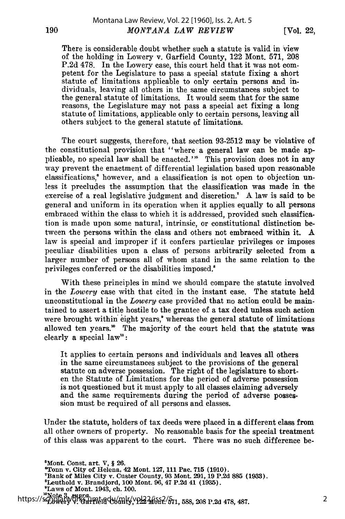[Vol. 22,

There is considerable doubt whether such a statute is valid in view of the holding in Lowery v. Garfield County, 122 Mont. 571, 208 P.2d 478. In the Lowery case, this court held that it was not competent for the Legislature to pass a special statute fixing a short statute of limitations applicable to only certain persons and individuals, leaving all others in the same circumstances subject to the general statute of limitations. It would seem that for the same reasons, the Legislature may not pass a special act fixing a long statute of limitations, applicable only to certain persons, leaving all others subject to the general statute of limitations.

The court suggests, therefore, that section 93-2512 may be violative of the constitutional provision that "where a general law can be made applicable, no special law shall be enacted.'<sup>5</sup> This provision does not in any way prevent the enactment of differential legislation based upon reasonable classifications,' however, and a classification is not open to objection unless it precludes the assumption that the classification was made in the exercise of a real legislative judgment and discretion.' A law is said to be general and uniform in its operation when it applies equally to all persons embraced within the class to which it is addressed, provided such classification is made upon some natural, intrinsic, or constitutional distinction between the persons within the class and others not embraced within it. A law is special and improper if it confers particular privileges or imposes peculiar disabilities upon a class of persons arbitrarily selected from a larger number of persons all of whom stand in the same relation to the privileges conferred or the disabilities imposed.8

With these principles in mind we should compare the statute involved in the *Lowery* case with that cited in the instant case. The statute held unconstitutional in the *Lowery* case provided that no action could be maintained to assert a title hostile to the grantee of a tax deed unless such action were brought within eight years,' whereas the general statute of limitations allowed ten years." The majority of the court held that the statute was clearly a special law':

It applies to certain persons and individuals and leaves all others in the same circumstances subject to the provisions of the general statute on adverse possession. The right of the legislature to shorten the Statute of Limitations for the period of adverse possession is not questioned but it must apply to all classes claiming adversely and the same requirements during the period of adverse possession must be required of all persons and classes.

Under the statute, holders of tax deeds were placed in a different class from all other owners of property. No reasonable basis for the special treatment of this class was apparent to the court. There was no such difference be-

 $5$ Mont. Const. art. V, § 26. 'Tonn v. City of Helena, 42 Mont. **127, 111** Pae. **715 (1910). 'Bank** of Miles City v. Custer County, **93** Mont. **291, 19 P.2d 885 (1933).** 'Leuthold v. Brandjord, **100** Mont. **96,** 47 **P.2d** 41 **(1935). <sup>9</sup> Laws** of Mont. 1943, ch. **100. "Note 3, supra...**<br>https://scholarworks.umta.edu/mlr/vol22/iss2/571, 588, 208 P.2d 478, 487.